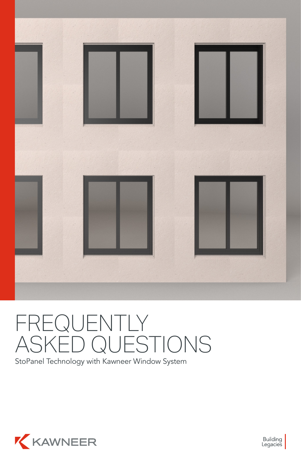

# FREQUENTLY ASKED QUESTIONS

StoPanel Technology with Kawneer Window System



Building<br>Legacies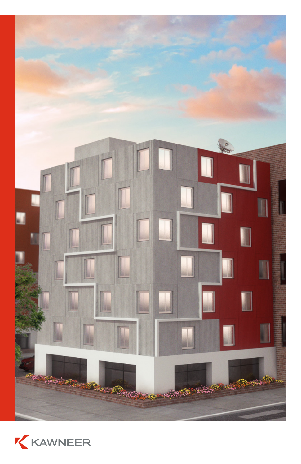

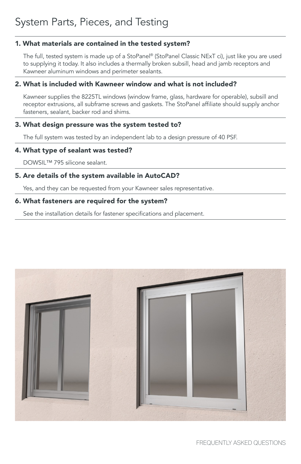#### 1. What materials are contained in the tested system?

The full, tested system is made up of a StoPanel® (StoPanel Classic NExT ci), just like you are used to supplying it today. It also includes a thermally broken subsill, head and jamb receptors and Kawneer aluminum windows and perimeter sealants.

#### 2. What is included with Kawneer window and what is not included?

Kawneer supplies the 8225TL windows (window frame, glass, hardware for operable), subsill and receptor extrusions, all subframe screws and gaskets. The StoPanel affiliate should supply anchor fasteners, sealant, backer rod and shims.

#### 3. What design pressure was the system tested to?

The full system was tested by an independent lab to a design pressure of 40 PSF.

#### 4. What type of sealant was tested?

DOWSIL™ 795 silicone sealant.

#### 5. Are details of the system available in AutoCAD?

Yes, and they can be requested from your Kawneer sales representative.

#### 6. What fasteners are required for the system?

See the installation details for fastener specifications and placement.

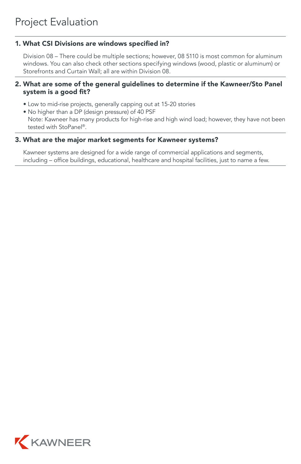#### 1. What CSI Divisions are windows specified in?

Division 08 – There could be multiple sections; however, 08 5110 is most common for aluminum windows. You can also check other sections specifying windows (wood, plastic or aluminum) or Storefronts and Curtain Wall; all are within Division 08.

#### 2. What are some of the general guidelines to determine if the Kawneer/Sto Panel system is a good fit?

- Low to mid-rise projects, generally capping out at 15-20 stories
- No higher than a DP (design pressure) of 40 PSF

Note: Kawneer has many products for high-rise and high wind load; however, they have not been tested with StoPanel®.

#### 3. What are the major market segments for Kawneer systems?

Kawneer systems are designed for a wide range of commercial applications and segments, including – office buildings, educational, healthcare and hospital facilities, just to name a few.

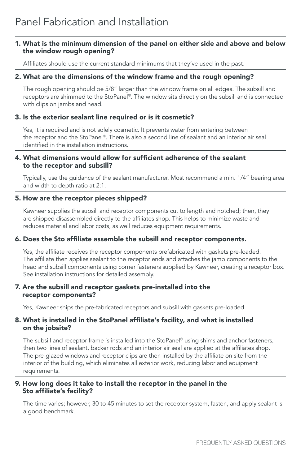#### 1. What is the minimum dimension of the panel on either side and above and below the window rough opening?

Affiliates should use the current standard minimums that they've used in the past.

#### 2. What are the dimensions of the window frame and the rough opening?

The rough opening should be 5/8" larger than the window frame on all edges. The subsill and receptors are shimmed to the StoPanel®. The window sits directly on the subsill and is connected with clips on jambs and head.

#### 3. Is the exterior sealant line required or is it cosmetic?

Yes, it is required and is not solely cosmetic. It prevents water from entering between the receptor and the StoPanel®. There is also a second line of sealant and an interior air seal identified in the installation instructions.

#### 4. What dimensions would allow for sufficient adherence of the sealant to the receptor and subsill?

Typically, use the guidance of the sealant manufacturer. Most recommend a min. 1/4" bearing area and width to depth ratio at 2:1.

#### 5. How are the receptor pieces shipped?

Kawneer supplies the subsill and receptor components cut to length and notched; then, they are shipped disassembled directly to the affiliates shop. This helps to minimize waste and reduces material and labor costs, as well reduces equipment requirements.

#### 6. Does the Sto affiliate assemble the subsill and receptor components.

Yes, the affiliate receives the receptor components prefabricated with gaskets pre-loaded. The affiliate then applies sealant to the receptor ends and attaches the jamb components to the head and subsill components using corner fasteners supplied by Kawneer, creating a receptor box. See installation instructions for detailed assembly.

#### 7. Are the subsill and receptor gaskets pre-installed into the receptor components?

Yes, Kawneer ships the pre-fabricated receptors and subsill with gaskets pre-loaded.

#### 8. What is installed in the StoPanel affiliate's facility, and what is installed on the jobsite?

The subsill and receptor frame is installed into the StoPanel® using shims and anchor fasteners, then two lines of sealant, backer rods and an interior air seal are applied at the affiliates shop. The pre-glazed windows and receptor clips are then installed by the affiliate on site from the interior of the building, which eliminates all exterior work, reducing labor and equipment requirements.

#### 9. How long does it take to install the receptor in the panel in the Sto affiliate's facility?

The time varies; however, 30 to 45 minutes to set the receptor system, fasten, and apply sealant is a good benchmark.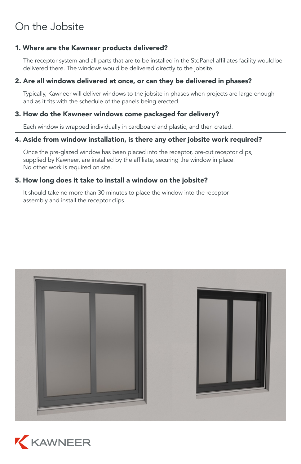#### 1. Where are the Kawneer products delivered?

The receptor system and all parts that are to be installed in the StoPanel affiliates facility would be delivered there. The windows would be delivered directly to the jobsite.

#### 2. Are all windows delivered at once, or can they be delivered in phases?

Typically, Kawneer will deliver windows to the jobsite in phases when projects are large enough and as it fits with the schedule of the panels being erected.

#### 3. How do the Kawneer windows come packaged for delivery?

Each window is wrapped individually in cardboard and plastic, and then crated.

# 4. Aside from window installation, is there any other jobsite work required?

Once the pre-glazed window has been placed into the receptor, pre-cut receptor clips, supplied by Kawneer, are installed by the affiliate, securing the window in place. No other work is required on site.

# 5. How long does it take to install a window on the jobsite?

It should take no more than 30 minutes to place the window into the receptor assembly and install the receptor clips.



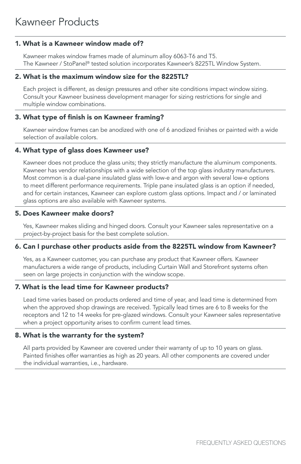# 1. What is a Kawneer window made of?

Kawneer makes window frames made of aluminum alloy 6063-T6 and T5. The Kawneer / StoPanel® tested solution incorporates Kawneer's 8225TL Window System.

# 2. What is the maximum window size for the 8225TL?

Each project is different, as design pressures and other site conditions impact window sizing. Consult your Kawneer business development manager for sizing restrictions for single and multiple window combinations.

# 3. What type of finish is on Kawneer framing?

Kawneer window frames can be anodized with one of 6 anodized finishes or painted with a wide selection of available colors.

# 4. What type of glass does Kawneer use?

Kawneer does not produce the glass units; they strictly manufacture the aluminum components. Kawneer has vendor relationships with a wide selection of the top glass industry manufacturers. Most common is a dual-pane insulated glass with low-e and argon with several low-e options to meet different performance requirements. Triple pane insulated glass is an option if needed, and for certain instances, Kawneer can explore custom glass options. Impact and / or laminated glass options are also available with Kawneer systems.

# 5. Does Kawneer make doors?

Yes, Kawneer makes sliding and hinged doors. Consult your Kawneer sales representative on a project-by-project basis for the best complete solution.

# 6. Can I purchase other products aside from the 8225TL window from Kawneer?

Yes, as a Kawneer customer, you can purchase any product that Kawneer offers. Kawneer manufacturers a wide range of products, including Curtain Wall and Storefront systems often seen on large projects in conjunction with the window scope.

# 7. What is the lead time for Kawneer products?

Lead time varies based on products ordered and time of year, and lead time is determined from when the approved shop drawings are received. Typically lead times are 6 to 8 weeks for the receptors and 12 to 14 weeks for pre-glazed windows. Consult your Kawneer sales representative when a project opportunity arises to confirm current lead times.

# 8. What is the warranty for the system?

All parts provided by Kawneer are covered under their warranty of up to 10 years on glass. Painted finishes offer warranties as high as 20 years. All other components are covered under the individual warranties, i.e., hardware.